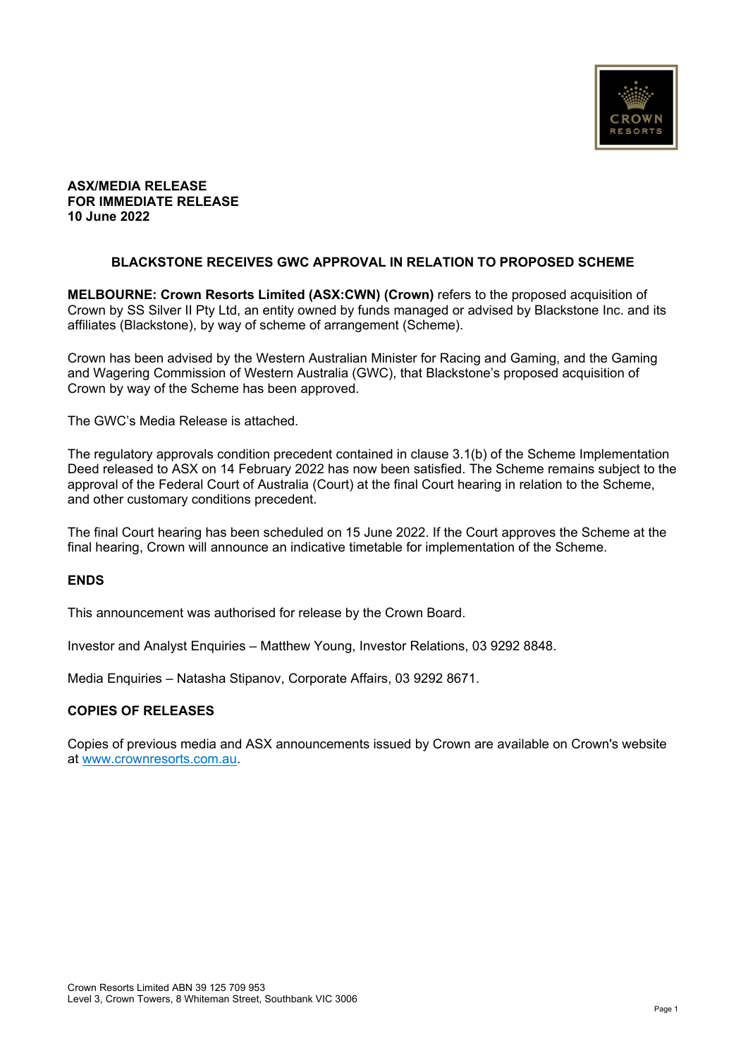

## **ASX/MEDIA RELEASE FOR IMMEDIATE RELEASE 10 June 2022**

## **BLACKSTONE RECEIVES GWC APPROVAL IN RELATION TO PROPOSED SCHEME**

**MELBOURNE: Crown Resorts Limited (ASX:CWN) (Crown)** refers to the proposed acquisition of Crown by SS Silver II Pty Ltd, an entity owned by funds managed or advised by Blackstone Inc. and its affiliates (Blackstone), by way of scheme of arrangement (Scheme).

Crown has been advised by the Western Australian Minister for Racing and Gaming, and the Gaming and Wagering Commission of Western Australia (GWC), that Blackstone's proposed acquisition of Crown by way of the Scheme has been approved.

The GWC's Media Release is attached.

The regulatory approvals condition precedent contained in clause 3.1(b) of the Scheme Implementation Deed released to ASX on 14 February 2022 has now been satisfied. The Scheme remains subject to the approval of the Federal Court of Australia (Court) at the final Court hearing in relation to the Scheme, and other customary conditions precedent.

The final Court hearing has been scheduled on 15 June 2022. If the Court approves the Scheme at the final hearing, Crown will announce an indicative timetable for implementation of the Scheme.

### **ENDS**

This announcement was authorised for release by the Crown Board.

Investor and Analyst Enquiries – Matthew Young, Investor Relations, 03 9292 8848.

Media Enquiries – Natasha Stipanov, Corporate Affairs, 03 9292 8671.

### **COPIES OF RELEASES**

Copies of previous media and ASX announcements issued by Crown are available on Crown's website at www.crownresorts.com.au.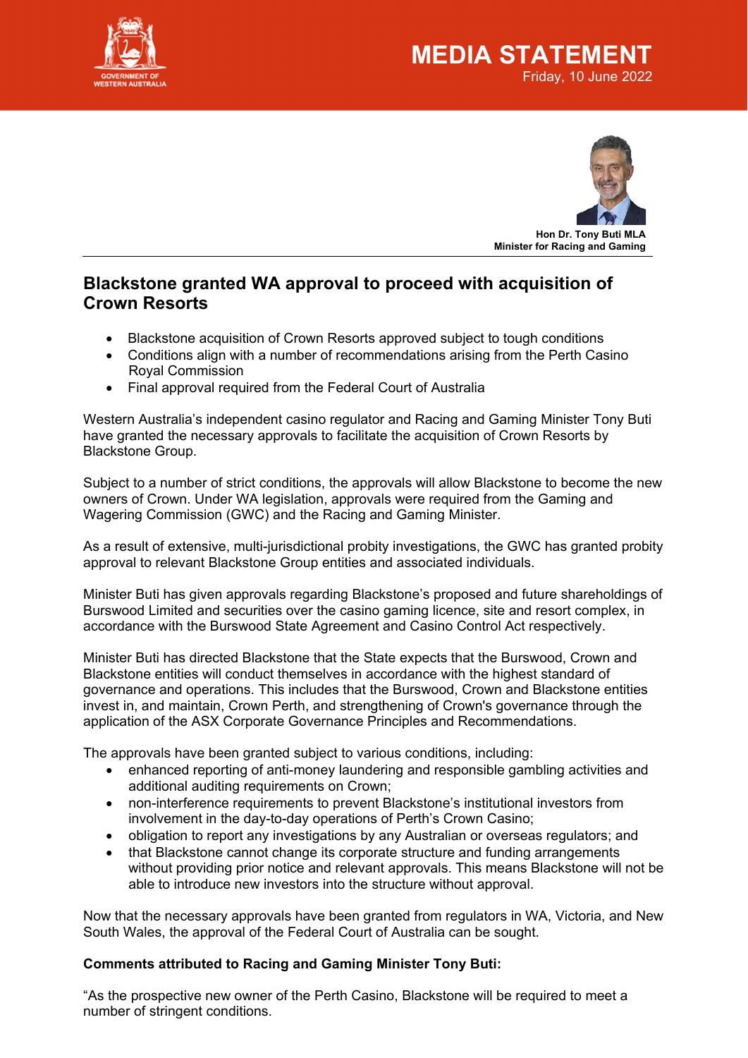



# **Blackstone granted WA approval to proceed with acquisition of Crown Resorts**

- Blackstone acquisition of Crown Resorts approved subject to tough conditions
- Conditions align with a number of recommendations arising from the Perth Casino Royal Commission
- Final approval required from the Federal Court of Australia

Western Australia's independent casino regulator and Racing and Gaming Minister Tony Buti have granted the necessary approvals to facilitate the acquisition of Crown Resorts by Blackstone Group.

Subject to a number of strict conditions, the approvals will allow Blackstone to become the new owners of Crown. Under WA legislation, approvals were required from the Gaming and Wagering Commission (GWC) and the Racing and Gaming Minister.

As a result of extensive, multi-jurisdictional probity investigations, the GWC has granted probity approval to relevant Blackstone Group entities and associated individuals.

Minister Buti has given approvals regarding Blackstone's proposed and future shareholdings of Burswood Limited and securities over the casino gaming licence, site and resort complex, in accordance with the Burswood State Agreement and Casino Control Act respectively.

Minister Buti has directed Blackstone that the State expects that the Burswood, Crown and Blackstone entities will conduct themselves in accordance with the highest standard of governance and operations. This includes that the Burswood, Crown and Blackstone entities invest in, and maintain, Crown Perth, and strengthening of Crown's governance through the application of the ASX Corporate Governance Principles and Recommendations.

The approvals have been granted subject to various conditions, including:

- enhanced reporting of anti-money laundering and responsible gambling activities and additional auditing requirements on Crown;
- non-interference requirements to prevent Blackstone's institutional investors from involvement in the day-to-day operations of Perth's Crown Casino;
- obligation to report any investigations by any Australian or overseas regulators; and
- that Blackstone cannot change its corporate structure and funding arrangements without providing prior notice and relevant approvals. This means Blackstone will not be able to introduce new investors into the structure without approval.

Now that the necessary approvals have been granted from regulators in WA, Victoria, and New South Wales, the approval of the Federal Court of Australia can be sought.

# **Comments attributed to Racing and Gaming Minister Tony Buti:**

"As the prospective new owner of the Perth Casino, Blackstone will be required to meet a number of stringent conditions.